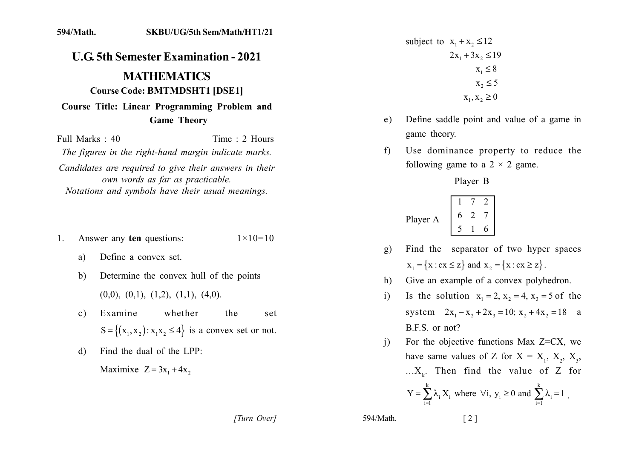## SKBU/UG/5th Sem/Math/HT1/21 594/Math.

## **U.G. 5th Semester Examination - 2021 MATHEMATICS Course Code: BMTMDSHT1 [DSE1]** Course Title: Linear Programming Problem and **Game Theory**

Full Marks  $\cdot$  40 Time: 2 Hours The figures in the right-hand margin indicate marks. Candidates are required to give their answers in their own words as far as practicable. Notations and symbols have their usual meanings.

- Answer any ten questions:  $1 \times 10 = 10$ 1.
	- Define a convex set. a)
	- Determine the convex hull of the points  $\mathbf{b}$  $(0,0), (0,1), (1,2), (1,1), (4,0).$
	- Examine whether the  $c)$ set  $S = \{(x_1, x_2): x_1x_2 \le 4\}$  is a convex set or not.
	- Find the dual of the LPP: d)

Maximixe  $Z = 3x_1 + 4x_2$ 

subject to  $x_1 + x_2 \le 12$  $2x_1 + 3x_2 \le 19$  $x_1 \leq 8$  $x_2 \leq 5$  $X_1, X_2 \ge 0$ 

- Define saddle point and value of a game in  $e)$ game theory.
- Use dominance property to reduce the  $f$ following game to a  $2 \times 2$  game.

Player B

Player A 
$$
\begin{bmatrix} 1 & 7 & 2 \\ 6 & 2 & 7 \\ 5 & 1 & 6 \end{bmatrix}
$$

- Find the separator of two hyper spaces  $g)$  $x_1 = \{x : cx \le z\}$  and  $x_2 = \{x : cx \ge z\}$ .
- Give an example of a convex polyhedron. h)
- Is the solution  $x_1 = 2$ ,  $x_2 = 4$ ,  $x_3 = 5$  of the  $\mathbf{i}$ system  $2x_1 - x_2 + 2x_3 = 10$ ;  $x_2 + 4x_2 = 18$  a B.F.S. or not?
- For the objective functions Max  $Z=CX$ , we  $\overline{1}$ have same values of Z for  $X = X_1, X_2, X_3$ , ... $X_{\nu}$ . Then find the value of Z for

$$
Y = \sum_{i=1}^{k} \lambda_i X_i
$$
 where  $\forall i, y_i \ge 0$  and  $\sum_{i=1}^{k} \lambda_i = 1$ .

594/Math.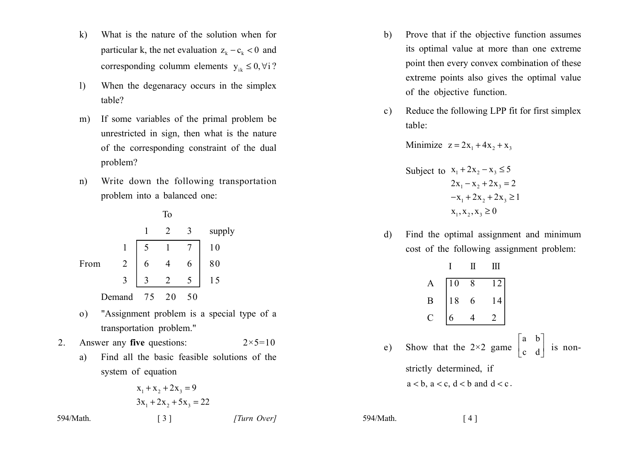- What is the nature of the solution when for  $\mathbf{k}$ particular k, the net evaluation  $z_k - c_k < 0$  and corresponding column elements  $y_{ik} \le 0$ ,  $\forall i$  ?
- When the degenaracy occurs in the simplex  $1)$ table?
- If some variables of the primal problem be  $m)$ unrestricted in sign, then what is the nature of the corresponding constraint of the dual problem?
- Write down the following transportation  $n)$ problem into a balanced one:

**To**  $\mathbf{1}$ 2  $\mathfrak{Z}$ supply  $\overline{7}$  $\overline{5}$  $\mathbf{1}$  $10$  $\mathbf{1}$ From  $\overline{2}$ 6 80  $\overline{4}$ 6 3  $\overline{2}$  $5<sup>1</sup>$ 15 3 Demand 75 20 50

- "Assignment problem is a special type of a  $\mathbf{0}$ transportation problem."
- $2<sub>1</sub>$ Answer any five questions:  $2 \times 5 = 10$ 
	- Find all the basic feasible solutions of the  $a)$ system of equation

$$
x_1 + x_2 + 2x_3 = 9
$$
  
3x<sub>1</sub> + 2x<sub>2</sub> + 5x<sub>3</sub> = 22

 $\begin{bmatrix} 3 \end{bmatrix}$ 

- Prove that if the objective function assumes b) its optimal value at more than one extreme point then every convex combination of these extreme points also gives the optimal value of the objective function.
- Reduce the following LPP fit for first simplex  $\mathbf{c}$ ) table:

Minimize  $z = 2x_1 + 4x_2 + x_3$ 

Subject to 
$$
x_1 + 2x_2 - x_3 \le 5
$$
  
\n $2x_1 - x_2 + 2x_3 = 2$   
\n $-x_1 + 2x_2 + 2x_3 \ge 1$   
\n $x_1, x_2, x_3 \ge 0$ 

Find the optimal assignment and minimum  $\mathbf{d}$ cost of the following assignment problem:

|                                                                                                                                                          | $I$ $II$ $III$ |  |  |  |
|----------------------------------------------------------------------------------------------------------------------------------------------------------|----------------|--|--|--|
|                                                                                                                                                          |                |  |  |  |
| A 10 8 12<br>B 18 6 14<br>C 6 4 2                                                                                                                        |                |  |  |  |
|                                                                                                                                                          |                |  |  |  |
| e) Show that the 2×2 game $\begin{vmatrix} a & b \\ c & d \end{vmatrix}$ is non-<br>strictly determined, if<br>$a < b$ , $a < c$ , $d < b$ and $d < c$ . |                |  |  |  |

594/Math.  $[4]$ 

594/Math.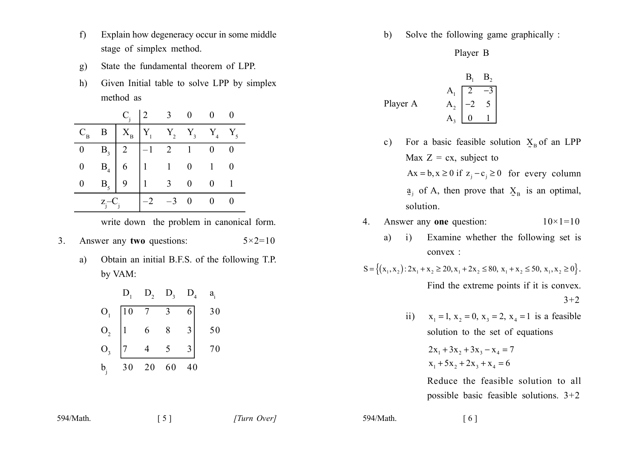- Explain how degeneracy occur in some middle  $f$ stage of simplex method.
- State the fundamental theorem of LPP.  $g)$
- Given Initial table to solve LPP by simplex  $h)$ method as

|                |             |                                                                                                                       |      | $C_i$ 2 3 0 |  |
|----------------|-------------|-----------------------------------------------------------------------------------------------------------------------|------|-------------|--|
| $C_{B}$        |             | $\begin{array}{c cccccc} \mathbf{B} & X_{\text{B}} & Y_1 & Y_2 & Y_3 & Y_4 & Y_5 \end{array}$                         |      |             |  |
| $\overline{0}$ |             |                                                                                                                       |      |             |  |
|                |             |                                                                                                                       |      |             |  |
|                |             | $\begin{array}{c ccccc}\nB_3 & 2 & -1 & 2 & 1 & 0 \\ B_4 & 6 & 1 & 1 & 0 & 1 \\ B_5 & 9 & 1 & 3 & 0 & 0\n\end{array}$ |      |             |  |
|                | $Z_i - C_i$ |                                                                                                                       | $-3$ | $0\qquad 0$ |  |

write down the problem in canonical form.

- Answer any two questions:  $5 \times 2 = 10$  $3<sub>1</sub>$ 
	- Obtain an initial B.F.S. of the following T.P. a) by VAM:

|                         | $D_{i}$ | $D_{2}$ | $D_{3}$        | $D_4$ | $a_{i}$ |
|-------------------------|---------|---------|----------------|-------|---------|
| $\mathbf{O}_1$          | 10      |         | $\overline{3}$ | 6     | 30      |
|                         |         | 6       | $\overline{8}$ |       | 50      |
| $\mathrm{O}_\mathrm{3}$ |         |         |                |       | 70      |
| $b_i$                   | 30      | 20      | 60             | 40    |         |

Solve the following game graphically : b)

Player B

| B <sub>1</sub> | B <sub>2</sub> |                                                                 |
|----------------|----------------|-----------------------------------------------------------------|
| Player A       | $A_1$          | $\begin{bmatrix} 2 & -3 \\ -2 & 5 \\ A_3 & 0 & 1 \end{bmatrix}$ |

- For a basic feasible solution  $X_B$  of an LPP  $c)$ Max  $Z = cx$ , subject to  $Ax = b, x \ge 0$  if  $z_i - c_i \ge 0$  for every column  $a_i$  of A, then prove that  $X_B$  is an optimal, solution.
- Answer any one question:  $10 \times 1 = 10$  $\overline{4}$ .
	- Examine whether the following set is  $a)$  $\overline{1}$ convex:

$$
S = \{(x_1, x_2) : 2x_1 + x_2 \ge 20, x_1 + 2x_2 \le 80, x_1 + x_2 \le 50, x_1, x_2 \ge 0\}.
$$
  
Find the extreme points if it is convex.

ii)  $x_1 = 1$ ,  $x_2 = 0$ ,  $x_3 = 2$ ,  $x_4 = 1$  is a feasible solution to the set of equations

$$
2x_1 + 3x_2 + 3x_3 - x_4 = 7
$$
  

$$
x_1 + 5x_2 + 2x_3 + x_4 = 6
$$

Reduce the feasible solution to all possible basic feasible solutions.  $3+2$ 

594/Math.

594/Math.